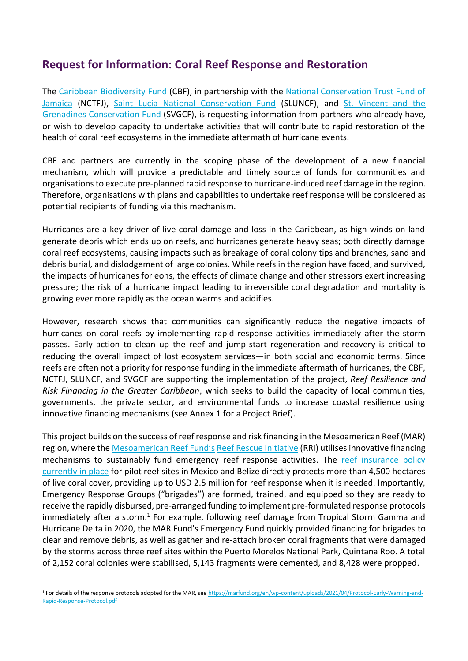# **Request for Information: Coral Reef Response and Restoration**

The [Caribbean Biodiversity Fund](https://www.caribbeanbiodiversityfund.org/) (CBF), in partnership with the [National Conservation Trust Fund of](https://conservejamaica.org/)  [Jamaica](https://conservejamaica.org/) (NCTFJ), [Saint Lucia National Conservation Fund](https://www.sluncf.org/) (SLUNCF), and [St. Vincent and the](https://svgcf.org/)  [Grenadines Conservation Fund](https://svgcf.org/) (SVGCF), is requesting information from partners who already have, or wish to develop capacity to undertake activities that will contribute to rapid restoration of the health of coral reef ecosystems in the immediate aftermath of hurricane events.

CBF and partners are currently in the scoping phase of the development of a new financial mechanism, which will provide a predictable and timely source of funds for communities and organisations to execute pre-planned rapid response to hurricane-induced reef damage in the region. Therefore, organisations with plans and capabilities to undertake reef response will be considered as potential recipients of funding via this mechanism.

Hurricanes are a key driver of live coral damage and loss in the Caribbean, as high winds on land generate debris which ends up on reefs, and hurricanes generate heavy seas; both directly damage coral reef ecosystems, causing impacts such as breakage of coral colony tips and branches, sand and debris burial, and dislodgement of large colonies. While reefs in the region have faced, and survived, the impacts of hurricanes for eons, the effects of climate change and other stressors exert increasing pressure; the risk of a hurricane impact leading to irreversible coral degradation and mortality is growing ever more rapidly as the ocean warms and acidifies.

However, research shows that communities can significantly reduce the negative impacts of hurricanes on coral reefs by implementing rapid response activities immediately after the storm passes. Early action to clean up the reef and jump-start regeneration and recovery is critical to reducing the overall impact of lost ecosystem services—in both social and economic terms. Since reefs are often not a priority for response funding in the immediate aftermath of hurricanes, the CBF, NCTFJ, SLUNCF, and SVGCF are supporting the implementation of the project, *Reef Resilience and Risk Financing in the Greater Caribbean*, which seeks to build the capacity of local communities, governments, the private sector, and environmental funds to increase coastal resilience using innovative financing mechanisms (see Annex 1 for a Project Brief).

This project builds on the success of reef response and risk financing in the Mesoamerican Reef (MAR) region, where the [Mesoamerican Reef Fund's](https://marfund.org/en/) [Reef Rescue Initiative](https://marfund.org/en/reef-rescue-initiative/) (RRI) utilises innovative financing mechanisms to sustainably fund emergency reef response activities. The reef insurance policy [currently in place](https://marfund.org/en/wp-content/uploads/2021/10/Brief_-MAR-Insurance-Programme-_QA.pdf) for pilot reef sites in Mexico and Belize directly protects more than 4,500 hectares of live coral cover, providing up to USD 2.5 million for reef response when it is needed. Importantly, Emergency Response Groups ("brigades") are formed, trained, and equipped so they are ready to receive the rapidly disbursed, pre-arranged funding to implement pre-formulated response protocols immediately after a storm.<sup>1</sup> For example, following reef damage from Tropical Storm Gamma and Hurricane Delta in 2020, the MAR Fund's Emergency Fund quickly provided financing for brigades to clear and remove debris, as well as gather and re-attach broken coral fragments that were damaged by the storms across three reef sites within the Puerto Morelos National Park, Quintana Roo. A total of 2,152 coral colonies were stabilised, 5,143 fragments were cemented, and 8,428 were propped.

<sup>1</sup> For details of the response protocols adopted for the MAR, see [https://marfund.org/en/wp-content/uploads/2021/04/Protocol-Early-Warning-and-](https://marfund.org/en/wp-content/uploads/2021/04/Protocol-Early-Warning-and-Rapid-Response-Protocol.pdf)[Rapid-Response-Protocol.pdf](https://marfund.org/en/wp-content/uploads/2021/04/Protocol-Early-Warning-and-Rapid-Response-Protocol.pdf)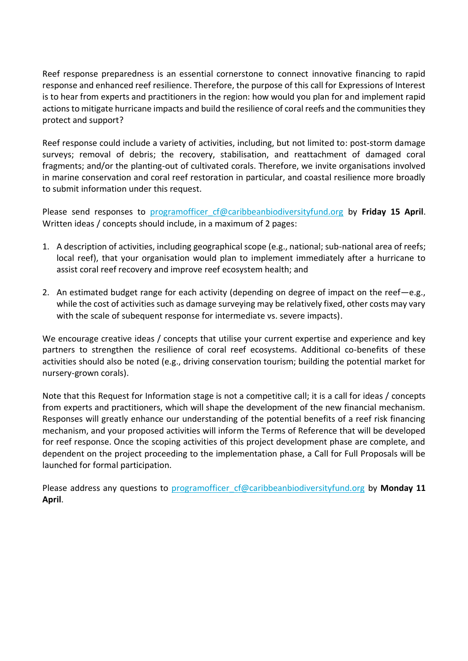Reef response preparedness is an essential cornerstone to connect innovative financing to rapid response and enhanced reef resilience. Therefore, the purpose of this call for Expressions of Interest is to hear from experts and practitioners in the region: how would you plan for and implement rapid actions to mitigate hurricane impacts and build the resilience of coral reefs and the communities they protect and support?

Reef response could include a variety of activities, including, but not limited to: post-storm damage surveys; removal of debris; the recovery, stabilisation, and reattachment of damaged coral fragments; and/or the planting-out of cultivated corals. Therefore, we invite organisations involved in marine conservation and coral reef restoration in particular, and coastal resilience more broadly to submit information under this request.

Please send responses to programofficer cf@caribbeanbiodiversityfund.org by Friday 15 April. Written ideas / concepts should include, in a maximum of 2 pages:

- 1. A description of activities, including geographical scope (e.g., national; sub-national area of reefs; local reef), that your organisation would plan to implement immediately after a hurricane to assist coral reef recovery and improve reef ecosystem health; and
- 2. An estimated budget range for each activity (depending on degree of impact on the reef—e.g., while the cost of activities such as damage surveying may be relatively fixed, other costs may vary with the scale of subequent response for intermediate vs. severe impacts).

We encourage creative ideas / concepts that utilise your current expertise and experience and key partners to strengthen the resilience of coral reef ecosystems. Additional co-benefits of these activities should also be noted (e.g., driving conservation tourism; building the potential market for nursery-grown corals).

Note that this Request for Information stage is not a competitive call; it is a call for ideas / concepts from experts and practitioners, which will shape the development of the new financial mechanism. Responses will greatly enhance our understanding of the potential benefits of a reef risk financing mechanism, and your proposed activities will inform the Terms of Reference that will be developed for reef response. Once the scoping activities of this project development phase are complete, and dependent on the project proceeding to the implementation phase, a Call for Full Proposals will be launched for formal participation.

Please address any questions to programofficer cf@caribbeanbiodiversityfund.org by Monday 11 **April**.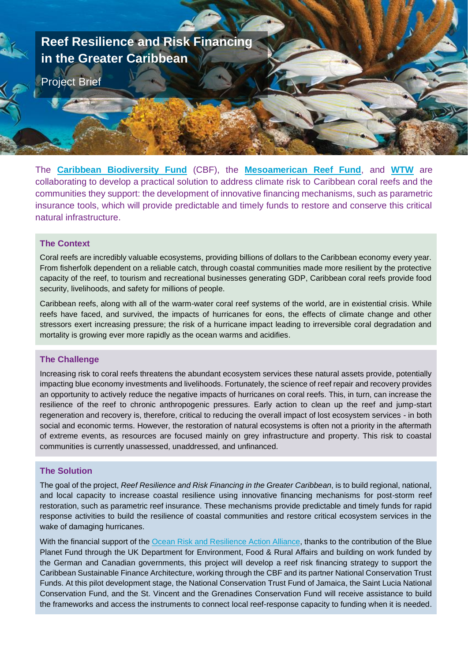

The **[Caribbean Biodiversity Fund](https://www.caribbeanbiodiversityfund.org/)** (CBF), the **[Mesoamerican Reef Fund](https://marfund.org/)**, and **[WTW](https://www.wtwco.com/en-ID/Insights/research-programs-and-collaborations/climate-and-resilience-hub)** are collaborating to develop a practical solution to address climate risk to Caribbean coral reefs and the communities they support: the development of innovative financing mechanisms, such as parametric insurance tools, which will provide predictable and timely funds to restore and conserve this critical natural infrastructure.

### **The Context**

Coral reefs are incredibly valuable ecosystems, providing billions of dollars to the Caribbean economy every year. From fisherfolk dependent on a reliable catch, through coastal communities made more resilient by the protective capacity of the reef, to tourism and recreational businesses generating GDP, Caribbean coral reefs provide food security, livelihoods, and safety for millions of people.

Caribbean reefs, along with all of the warm-water coral reef systems of the world, are in existential crisis. While reefs have faced, and survived, the impacts of hurricanes for eons, the effects of climate change and other stressors exert increasing pressure; the risk of a hurricane impact leading to irreversible coral degradation and mortality is growing ever more rapidly as the ocean warms and acidifies.

### **The Challenge**

Increasing risk to coral reefs threatens the abundant ecosystem services these natural assets provide, potentially impacting blue economy investments and livelihoods. Fortunately, the science of reef repair and recovery provides an opportunity to actively reduce the negative impacts of hurricanes on coral reefs. This, in turn, can increase the resilience of the reef to chronic anthropogenic pressures. Early action to clean up the reef and jump-start regeneration and recovery is, therefore, critical to reducing the overall impact of lost ecosystem services - in both social and economic terms. However, the restoration of natural ecosystems is often not a priority in the aftermath of extreme events, as resources are focused mainly on grey infrastructure and property. This risk to coastal communities is currently unassessed, unaddressed, and unfinanced.

## **The Solution**

The goal of the project, *Reef Resilience and Risk Financing in the Greater Caribbean*, is to build regional, national, and local capacity to increase coastal resilience using innovative financing mechanisms for post-storm reef restoration, such as parametric reef insurance. These mechanisms provide predictable and timely funds for rapid response activities to build the resilience of coastal communities and restore critical ecosystem services in the wake of damaging hurricanes.

With the financial support of the [Ocean Risk and Resilience Action Alliance,](https://www.oceanriskalliance.org/) thanks to the contribution of the Blue Planet Fund through the UK Department for Environment, Food & Rural Affairs and building on work funded by the German and Canadian governments, this project will develop a reef risk financing strategy to support the Caribbean Sustainable Finance Architecture, working through the CBF and its partner National Conservation Trust Funds. At this pilot development stage, the National Conservation Trust Fund of Jamaica, the Saint Lucia National Conservation Fund, and the St. Vincent and the Grenadines Conservation Fund will receive assistance to build the frameworks and access the instruments to connect local reef-response capacity to funding when it is needed.